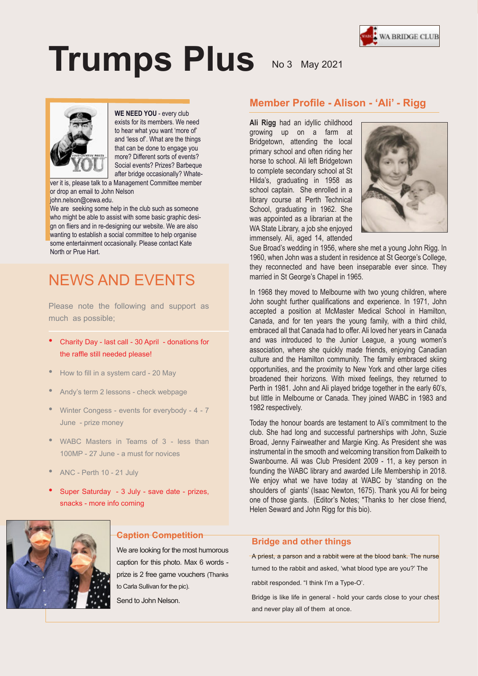

# **Trumps Plus** No 3 May 2021



**WE NEED YOU** - every club exists for its members. We need to hear what you want 'more of' and 'less of'. What are the things that can be done to engage you more? Different sorts of events? Social events? Prizes? Barbeque after bridge occasionally? Whate-

ver it is, please talk to a Management Committee member or drop an email to John Nelson john.nelson@cewa.edu.

We are seeking some help in the club such as someone who might be able to assist with some basic graphic design on fliers and in re-designing our website. We are also wanting to establish a social committee to help organise some entertainment occasionally. Please contact Kate North or Prue Hart.

# NEWS AND EVENTS

Please note the following and support as much as possible;

- Charity Day last call 30 April donations for the raffle still needed please!
- How to fill in a system card 20 May
- Andy's term 2 lessons check webpage
- Winter Congess events for everybody 4 7 June - prize money
- WABC Masters in Teams of 3 less than 100MP - 27 June - a must for novices
- ANC Perth 10 21 July
- Super Saturday 3 July save date prizes, snacks - more info coming



# **Caption Competition**

Suspendisse potenti. Etiam feugiat. We are looking for the most humorous caption for this photo. Max 6 words prize is 2 free game vouchers (Thanks  $\mathbb{R}$  version primitive in fault  $\mathbb{R}$ to Carla Sullivan for the pic).

Send to John Nelson. version semperature semperature entrepreneur en mandature en mandature en mandature en mandature en mandature<br>Sederature

# **Member Profile - Alison - 'Ali' - Rigg**

**Ali Rigg** had an idyllic childhood growing up on a farm at Bridgetown, attending the local primary school and often riding her horse to school. Ali left Bridgetown to complete secondary school at St Hilda's, graduating in 1958 as school captain. She enrolled in a library course at Perth Technical School, graduating in 1962. She was appointed as a librarian at the WA State Library, a job she enjoyed immensely. Ali, aged 14, attended



Sue Broad's wedding in 1956, where she met a young John Rigg. In 1960, when John was a student in residence at St George's College, they reconnected and have been inseparable ever since. They married in St George's Chapel in 1965.

In 1968 they moved to Melbourne with two young children, where John sought further qualifications and experience. In 1971, John accepted a position at McMaster Medical School in Hamilton, Canada, and for ten years the young family, with a third child, embraced all that Canada had to offer. Ali loved her years in Canada and was introduced to the Junior League, a young women's association, where she quickly made friends, enjoying Canadian culture and the Hamilton community. The family embraced skiing opportunities, and the proximity to New York and other large cities broadened their horizons. With mixed feelings, they returned to Perth in 1981. John and Ali played bridge together in the early 60's, but little in Melbourne or Canada. They joined WABC in 1983 and 1982 respectively.

Today the honour boards are testament to Ali's commitment to the club. She had long and successful partnerships with John, Suzie Broad, Jenny Fairweather and Margie King. As President she was instrumental in the smooth and welcoming transition from Dalkeith to Swanbourne. Ali was Club President 2009 - 11, a key person in founding the WABC library and awarded Life Membership in 2018. We enjoy what we have today at WABC by 'standing on the shoulders of giants' (Isaac Newton, 1675). Thank you Ali for being one of those giants. (Editor's Notes; \*Thanks to her close friend, Helen Seward and John Rigg for this bio).

#### **Bridge and other things**

A priest, a parson and a rabbit were at the blood bank. The nurse turned to the rabbit and asked, 'what blood type are you?' The

rabbit responded. "I think I'm a Type-O'.

Bridge is like life in general - hold your cards close to your chest and never play all of them at once.